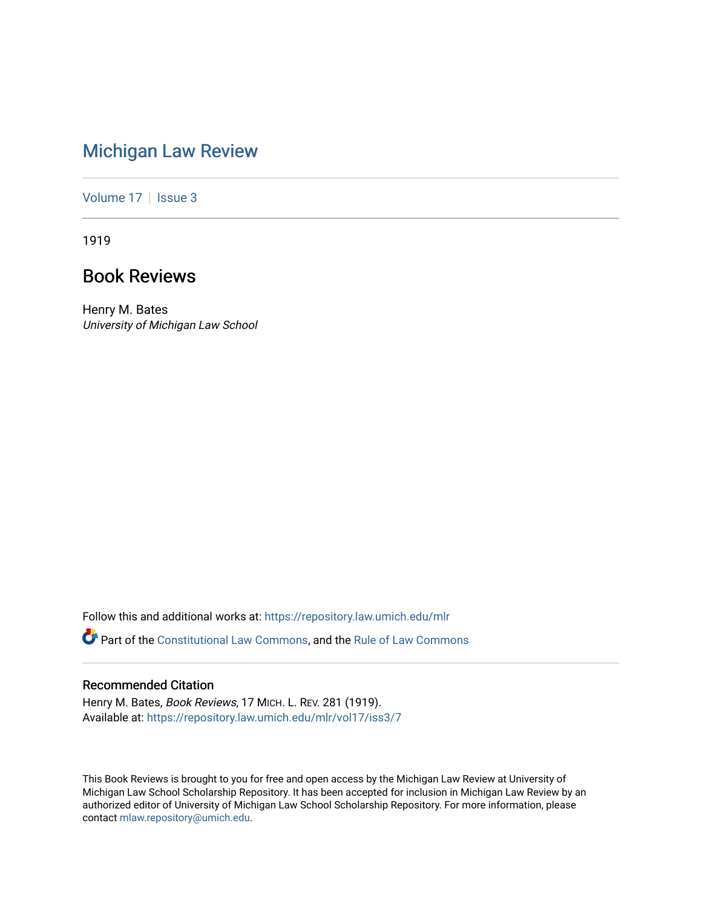## [Michigan Law Review](https://repository.law.umich.edu/mlr)

[Volume 17](https://repository.law.umich.edu/mlr/vol17) | [Issue 3](https://repository.law.umich.edu/mlr/vol17/iss3)

1919

## Book Reviews

Henry M. Bates University of Michigan Law School

Follow this and additional works at: [https://repository.law.umich.edu/mlr](https://repository.law.umich.edu/mlr?utm_source=repository.law.umich.edu%2Fmlr%2Fvol17%2Fiss3%2F7&utm_medium=PDF&utm_campaign=PDFCoverPages) 

Part of the [Constitutional Law Commons,](http://network.bepress.com/hgg/discipline/589?utm_source=repository.law.umich.edu%2Fmlr%2Fvol17%2Fiss3%2F7&utm_medium=PDF&utm_campaign=PDFCoverPages) and the [Rule of Law Commons](http://network.bepress.com/hgg/discipline/1122?utm_source=repository.law.umich.edu%2Fmlr%2Fvol17%2Fiss3%2F7&utm_medium=PDF&utm_campaign=PDFCoverPages)

## Recommended Citation

Henry M. Bates, Book Reviews, 17 MICH. L. REV. 281 (1919). Available at: [https://repository.law.umich.edu/mlr/vol17/iss3/7](https://repository.law.umich.edu/mlr/vol17/iss3/7?utm_source=repository.law.umich.edu%2Fmlr%2Fvol17%2Fiss3%2F7&utm_medium=PDF&utm_campaign=PDFCoverPages)

This Book Reviews is brought to you for free and open access by the Michigan Law Review at University of Michigan Law School Scholarship Repository. It has been accepted for inclusion in Michigan Law Review by an authorized editor of University of Michigan Law School Scholarship Repository. For more information, please contact [mlaw.repository@umich.edu](mailto:mlaw.repository@umich.edu).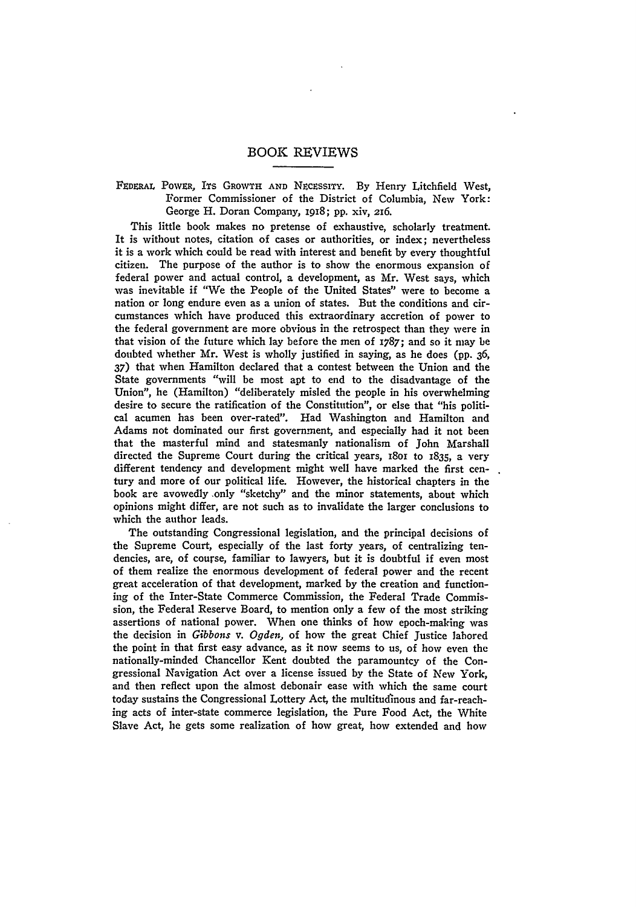## BOOK REVIEWS

FEDERAL POWER, ITS GROWTH AND NECESSITY. By Henry Litchfield West, Former Commissioner of the District of Columbia, New York: George H. Doran Company, 1918; pp. xiv, 216.

This little book makes no pretense of exhaustive, scholarly treatment. It is without notes, citation of cases or authorities, or index; nevertheless it is a work which could be read with interest and benefit by every thoughtful citizen. The purpose of the author is to show the enormous expansion of federal power and actual control, a development, as Mr. West says, which was inevitable if "We the People of the United States" were to become a nation or long endure even as a union of states. But the conditions and circumstances which have produced this extraordinary accretion of power to the federal government are more obvious in the retrospect than they were in that vision of the future which lay before the men of 1787; and so it may be doubted whether Mr. West is wholly justified in saying, as he does (pp. 36, 37) that when Hamilton declared that a contest between the Union and the State governments "will be most apt to end to the disadvantage of the Union'', he (Hamilton) "deliberately misled the people in his overwhelming desire to secure the ratification of the Constitution", or else that "his political acumen has been over-rated". Had Washington and Hamilton and Adams not dominated our first government, and especially had it not been that the masterful mind and statesmanly nationalism of John Marshall directed the Supreme Court during the critical years, 1801 to 1835, a very different tendency and development might well have marked the first century and more of our political life. However, the historical chapters in the book are avowedly .only "sketchy" and the minor statements, about which opinions might differ, are not such as to invalidate the larger conclusions to which the author leads.

The outstanding Congressional legislation, and the principal decisions of the Supreme Court, especially of the last forty years, of centralizing tendencies, are, of course, familiar to lawyers, but it is doubtful if even most of them realize the enormous development of federal power and the recent great acceleration of that development, marked by the creation and functioning of the Inter-State Commerce Commission, the Federal Trade Commission, the Federal Reserve Board, to mention only a few of the most striking assertions of national power. When one thinks of how epoch-making was the decision in *Gibbo11s* v. *Ogden,* of how the great Chief Justice labored the point in that first easy advance, as it now seems to us, of how even the nationally-minded Chancellor Kent doubted the paramountcy of the Congressional Navigation Act over a license issued by the State of New York, and then reflect upon the almost debonair ease with which the same court today sustains the Congressional Lottery Act, the multitudinous and far-reaching acts of inter-state commerce legislation, the Pure Food Act, the White Slave Act, he gets some realization of how great, how extended and how